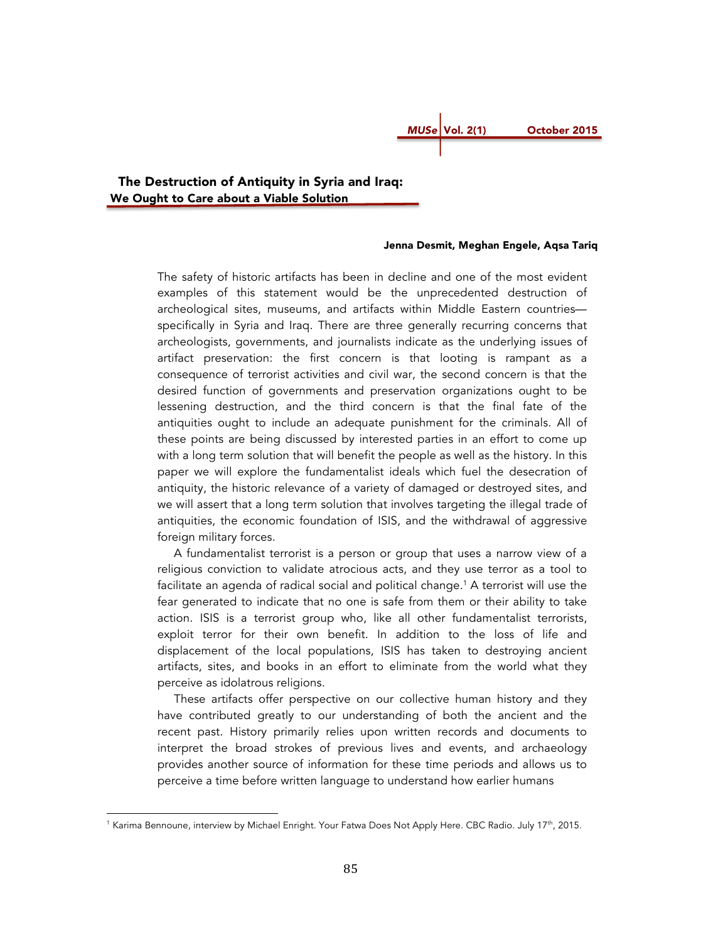# *MUSe* Vol. 2(1) October 2015

 The Destruction of Antiquity in Syria and Iraq: We Ought to Care about a Viable Solution

# Jenna Desmit, Meghan Engele, Aqsa Tariq

The safety of historic artifacts has been in decline and one of the most evident examples of this statement would be the unprecedented destruction of archeological sites, museums, and artifacts within Middle Eastern countries specifically in Syria and Iraq. There are three generally recurring concerns that archeologists, governments, and journalists indicate as the underlying issues of artifact preservation: the first concern is that looting is rampant as a consequence of terrorist activities and civil war, the second concern is that the desired function of governments and preservation organizations ought to be lessening destruction, and the third concern is that the final fate of the antiquities ought to include an adequate punishment for the criminals. All of these points are being discussed by interested parties in an effort to come up with a long term solution that will benefit the people as well as the history. In this paper we will explore the fundamentalist ideals which fuel the desecration of antiquity, the historic relevance of a variety of damaged or destroyed sites, and we will assert that a long term solution that involves targeting the illegal trade of antiquities, the economic foundation of ISIS, and the withdrawal of aggressive foreign military forces.

 A fundamentalist terrorist is a person or group that uses a narrow view of a religious conviction to validate atrocious acts, and they use terror as a tool to facilitate an agenda of radical social and political change.<sup>1</sup> A terrorist will use the fear generated to indicate that no one is safe from them or their ability to take action. ISIS is a terrorist group who, like all other fundamentalist terrorists, exploit terror for their own benefit. In addition to the loss of life and displacement of the local populations, ISIS has taken to destroying ancient artifacts, sites, and books in an effort to eliminate from the world what they perceive as idolatrous religions.

 These artifacts offer perspective on our collective human history and they have contributed greatly to our understanding of both the ancient and the recent past. History primarily relies upon written records and documents to interpret the broad strokes of previous lives and events, and archaeology provides another source of information for these time periods and allows us to perceive a time before written language to understand how earlier humans

 

<sup>&</sup>lt;sup>1</sup> Karima Bennoune, interview by Michael Enright. Your Fatwa Does Not Apply Here. CBC Radio. July 17<sup>th</sup>, 2015.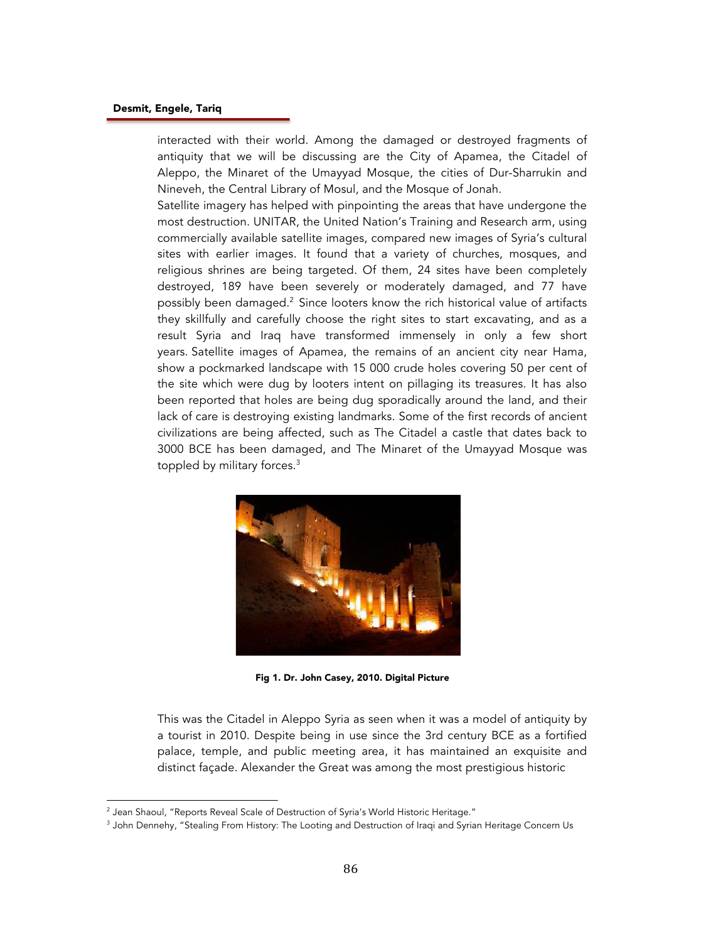interacted with their world. Among the damaged or destroyed fragments of antiquity that we will be discussing are the City of Apamea, the Citadel of Aleppo, the Minaret of the Umayyad Mosque, the cities of Dur-Sharrukin and Nineveh, the Central Library of Mosul, and the Mosque of Jonah.

Satellite imagery has helped with pinpointing the areas that have undergone the most destruction. UNITAR, the United Nation's Training and Research arm, using commercially available satellite images, compared new images of Syria's cultural sites with earlier images. It found that a variety of churches, mosques, and religious shrines are being targeted. Of them, 24 sites have been completely destroyed, 189 have been severely or moderately damaged, and 77 have possibly been damaged.<sup>2</sup> Since looters know the rich historical value of artifacts they skillfully and carefully choose the right sites to start excavating, and as a result Syria and Iraq have transformed immensely in only a few short years. Satellite images of Apamea, the remains of an ancient city near Hama, show a pockmarked landscape with 15 000 crude holes covering 50 per cent of the site which were dug by looters intent on pillaging its treasures. It has also been reported that holes are being dug sporadically around the land, and their lack of care is destroying existing landmarks. Some of the first records of ancient civilizations are being affected, such as The Citadel a castle that dates back to 3000 BCE has been damaged, and The Minaret of the Umayyad Mosque was toppled by military forces.<sup>3</sup>



Fig 1. Dr. John Casey, 2010. Digital Picture

This was the Citadel in Aleppo Syria as seen when it was a model of antiquity by a tourist in 2010. Despite being in use since the 3rd century BCE as a fortified palace, temple, and public meeting area, it has maintained an exquisite and distinct façade. Alexander the Great was among the most prestigious historic

 $^{\rm 2}$  Jean Shaoul, "Reports Reveal Scale of Destruction of Syria's World Historic Heritage."

<sup>&</sup>lt;sup>3</sup> John Dennehy, "Stealing From History: The Looting and Destruction of Iraqi and Syrian Heritage Concern Us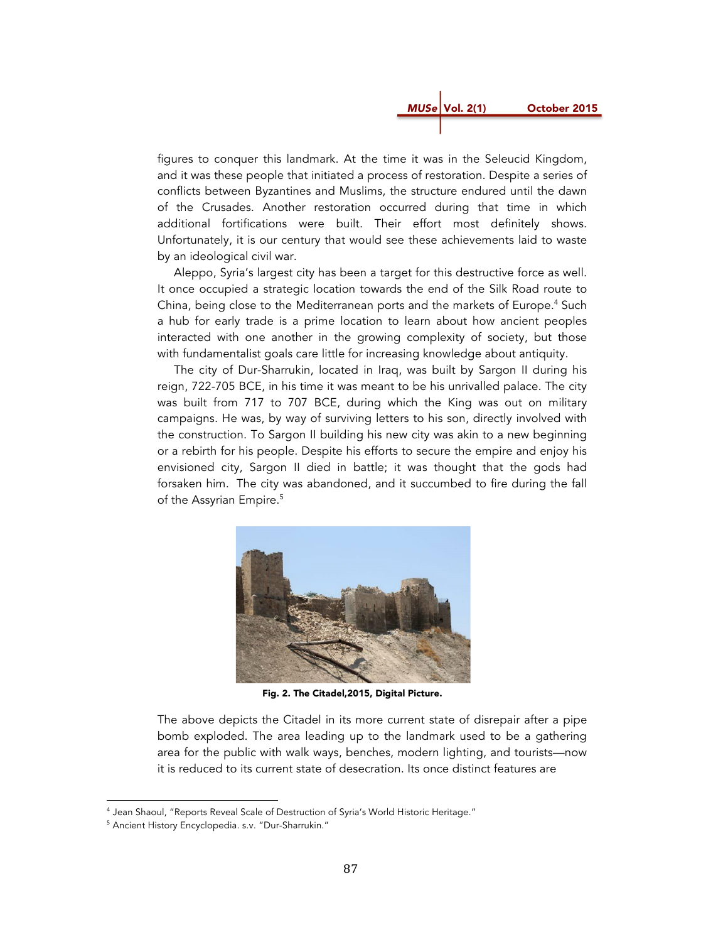

figures to conquer this landmark. At the time it was in the Seleucid Kingdom, and it was these people that initiated a process of restoration. Despite a series of conflicts between Byzantines and Muslims, the structure endured until the dawn of the Crusades. Another restoration occurred during that time in which additional fortifications were built. Their effort most definitely shows. Unfortunately, it is our century that would see these achievements laid to waste by an ideological civil war.

 Aleppo, Syria's largest city has been a target for this destructive force as well. It once occupied a strategic location towards the end of the Silk Road route to China, being close to the Mediterranean ports and the markets of Europe.<sup>4</sup> Such a hub for early trade is a prime location to learn about how ancient peoples interacted with one another in the growing complexity of society, but those with fundamentalist goals care little for increasing knowledge about antiquity.

 The city of Dur-Sharrukin, located in Iraq, was built by Sargon II during his reign, 722-705 BCE, in his time it was meant to be his unrivalled palace. The city was built from 717 to 707 BCE, during which the King was out on military campaigns. He was, by way of surviving letters to his son, directly involved with the construction. To Sargon II building his new city was akin to a new beginning or a rebirth for his people. Despite his efforts to secure the empire and enjoy his envisioned city, Sargon II died in battle; it was thought that the gods had forsaken him. The city was abandoned, and it succumbed to fire during the fall of the Assyrian Empire.<sup>5</sup>



Fig. 2. The Citadel,2015, Digital Picture.

The above depicts the Citadel in its more current state of disrepair after a pipe bomb exploded. The area leading up to the landmark used to be a gathering area for the public with walk ways, benches, modern lighting, and tourists—now it is reduced to its current state of desecration. Its once distinct features are

<sup>&</sup>lt;sup>4</sup> Jean Shaoul, "Reports Reveal Scale of Destruction of Syria's World Historic Heritage."

<sup>5</sup> Ancient History Encyclopedia. s.v. "Dur-Sharrukin."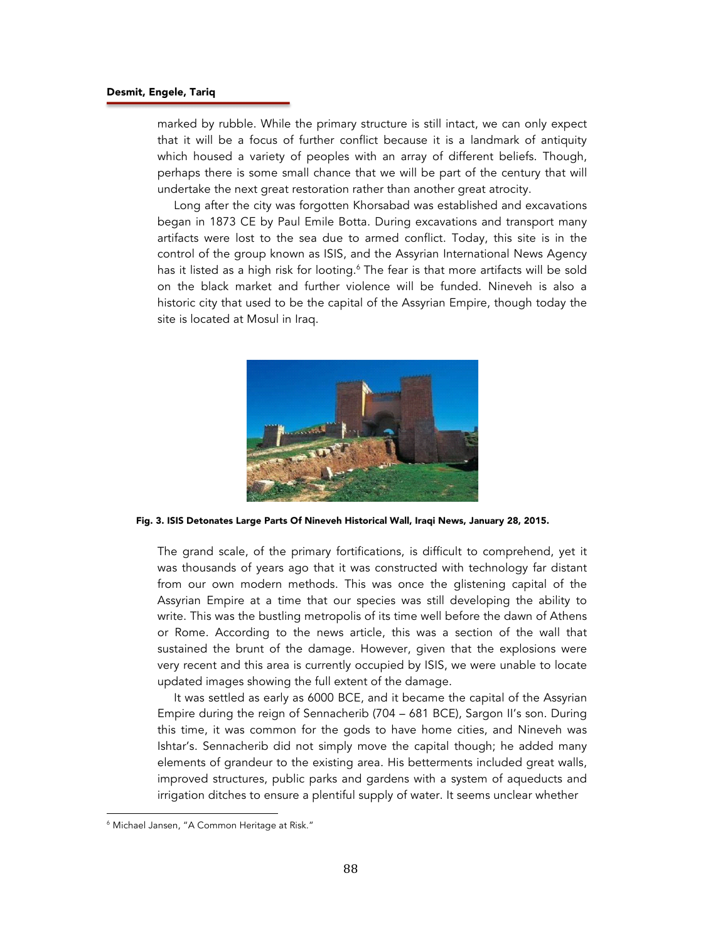marked by rubble. While the primary structure is still intact, we can only expect that it will be a focus of further conflict because it is a landmark of antiquity which housed a variety of peoples with an array of different beliefs. Though, perhaps there is some small chance that we will be part of the century that will undertake the next great restoration rather than another great atrocity.

 Long after the city was forgotten Khorsabad was established and excavations began in 1873 CE by Paul Emile Botta. During excavations and transport many artifacts were lost to the sea due to armed conflict. Today, this site is in the control of the group known as ISIS, and the Assyrian International News Agency has it listed as a high risk for looting.<sup>6</sup> The fear is that more artifacts will be sold on the black market and further violence will be funded. Nineveh is also a historic city that used to be the capital of the Assyrian Empire, though today the site is located at Mosul in Iraq.



Fig. 3. ISIS Detonates Large Parts Of Nineveh Historical Wall, Iraqi News, January 28, 2015.

The grand scale, of the primary fortifications, is difficult to comprehend, yet it was thousands of years ago that it was constructed with technology far distant from our own modern methods. This was once the glistening capital of the Assyrian Empire at a time that our species was still developing the ability to write. This was the bustling metropolis of its time well before the dawn of Athens or Rome. According to the news article, this was a section of the wall that sustained the brunt of the damage. However, given that the explosions were very recent and this area is currently occupied by ISIS, we were unable to locate updated images showing the full extent of the damage.

 It was settled as early as 6000 BCE, and it became the capital of the Assyrian Empire during the reign of Sennacherib (704 – 681 BCE), Sargon II's son. During this time, it was common for the gods to have home cities, and Nineveh was Ishtar's. Sennacherib did not simply move the capital though; he added many elements of grandeur to the existing area. His betterments included great walls, improved structures, public parks and gardens with a system of aqueducts and irrigation ditches to ensure a plentiful supply of water. It seems unclear whether

 

<sup>6</sup> Michael Jansen, "A Common Heritage at Risk."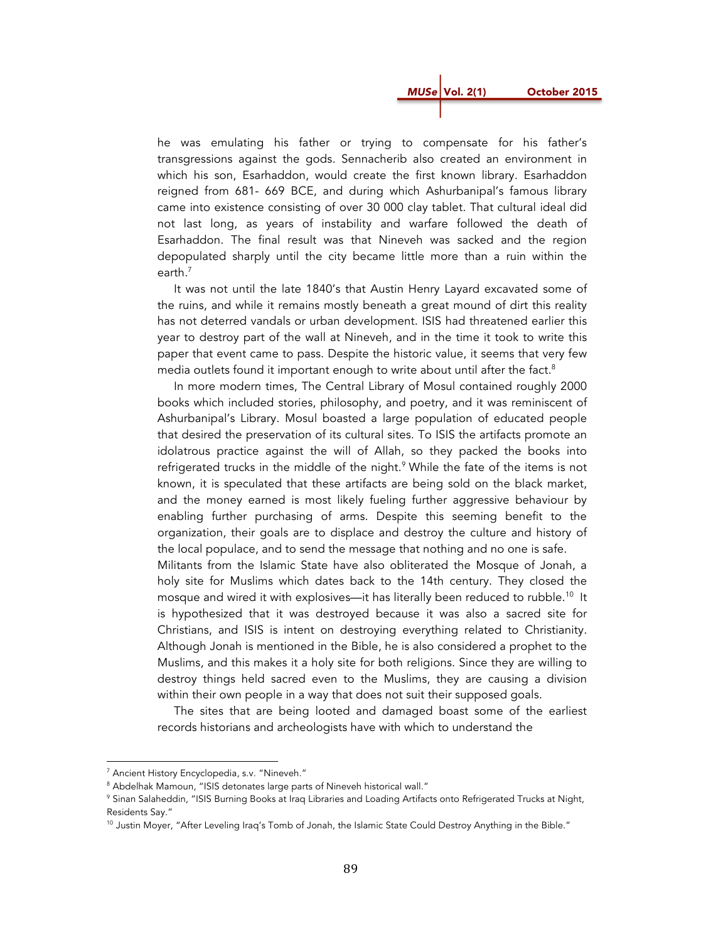*MUSe* Vol. 2(1) October 2015

he was emulating his father or trying to compensate for his father's transgressions against the gods. Sennacherib also created an environment in which his son, Esarhaddon, would create the first known library. Esarhaddon reigned from 681- 669 BCE, and during which Ashurbanipal's famous library came into existence consisting of over 30 000 clay tablet. That cultural ideal did not last long, as years of instability and warfare followed the death of Esarhaddon. The final result was that Nineveh was sacked and the region depopulated sharply until the city became little more than a ruin within the earth.<sup>7</sup>

 It was not until the late 1840's that Austin Henry Layard excavated some of the ruins, and while it remains mostly beneath a great mound of dirt this reality has not deterred vandals or urban development. ISIS had threatened earlier this year to destroy part of the wall at Nineveh, and in the time it took to write this paper that event came to pass. Despite the historic value, it seems that very few media outlets found it important enough to write about until after the fact.<sup>8</sup>

 In more modern times, The Central Library of Mosul contained roughly 2000 books which included stories, philosophy, and poetry, and it was reminiscent of Ashurbanipal's Library. Mosul boasted a large population of educated people that desired the preservation of its cultural sites. To ISIS the artifacts promote an idolatrous practice against the will of Allah, so they packed the books into refrigerated trucks in the middle of the night.<sup>9</sup> While the fate of the items is not known, it is speculated that these artifacts are being sold on the black market, and the money earned is most likely fueling further aggressive behaviour by enabling further purchasing of arms. Despite this seeming benefit to the organization, their goals are to displace and destroy the culture and history of the local populace, and to send the message that nothing and no one is safe.

Militants from the Islamic State have also obliterated the Mosque of Jonah, a holy site for Muslims which dates back to the 14th century. They closed the mosque and wired it with explosives—it has literally been reduced to rubble.<sup>10</sup> It is hypothesized that it was destroyed because it was also a sacred site for Christians, and ISIS is intent on destroying everything related to Christianity. Although Jonah is mentioned in the Bible, he is also considered a prophet to the Muslims, and this makes it a holy site for both religions. Since they are willing to destroy things held sacred even to the Muslims, they are causing a division within their own people in a way that does not suit their supposed goals.

 The sites that are being looted and damaged boast some of the earliest records historians and archeologists have with which to understand the

<sup>7</sup> Ancient History Encyclopedia, s.v. "Nineveh."

<sup>&</sup>lt;sup>8</sup> Abdelhak Mamoun, "ISIS detonates large parts of Nineveh historical wall."

<sup>9</sup> Sinan Salaheddin, "ISIS Burning Books at Iraq Libraries and Loading Artifacts onto Refrigerated Trucks at Night, Residents Say."<br><sup>10</sup> Justin Moyer, "After Leveling Iraq's Tomb of Jonah, the Islamic State Could Destroy Anything in the Bible."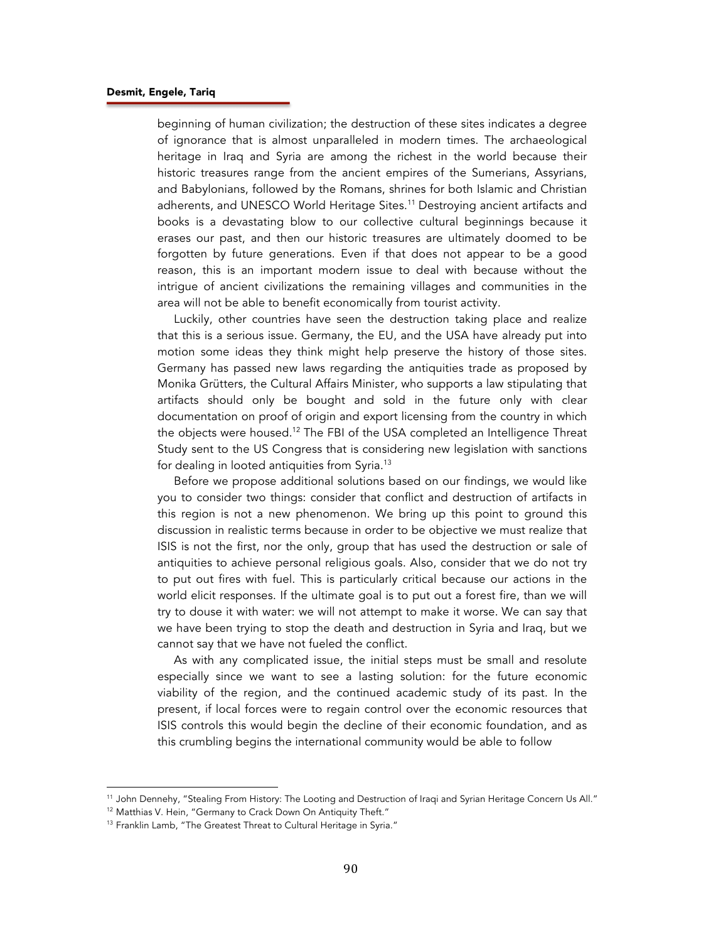beginning of human civilization; the destruction of these sites indicates a degree of ignorance that is almost unparalleled in modern times. The archaeological heritage in Iraq and Syria are among the richest in the world because their historic treasures range from the ancient empires of the Sumerians, Assyrians, and Babylonians, followed by the Romans, shrines for both Islamic and Christian adherents, and UNESCO World Heritage Sites.<sup>11</sup> Destroying ancient artifacts and books is a devastating blow to our collective cultural beginnings because it erases our past, and then our historic treasures are ultimately doomed to be forgotten by future generations. Even if that does not appear to be a good reason, this is an important modern issue to deal with because without the intrigue of ancient civilizations the remaining villages and communities in the area will not be able to benefit economically from tourist activity.

 Luckily, other countries have seen the destruction taking place and realize that this is a serious issue. Germany, the EU, and the USA have already put into motion some ideas they think might help preserve the history of those sites. Germany has passed new laws regarding the antiquities trade as proposed by Monika Grütters, the Cultural Affairs Minister, who supports a law stipulating that artifacts should only be bought and sold in the future only with clear documentation on proof of origin and export licensing from the country in which the objects were housed.<sup>12</sup> The FBI of the USA completed an Intelligence Threat Study sent to the US Congress that is considering new legislation with sanctions for dealing in looted antiquities from Syria.13

 Before we propose additional solutions based on our findings, we would like you to consider two things: consider that conflict and destruction of artifacts in this region is not a new phenomenon. We bring up this point to ground this discussion in realistic terms because in order to be objective we must realize that ISIS is not the first, nor the only, group that has used the destruction or sale of antiquities to achieve personal religious goals. Also, consider that we do not try to put out fires with fuel. This is particularly critical because our actions in the world elicit responses. If the ultimate goal is to put out a forest fire, than we will try to douse it with water: we will not attempt to make it worse. We can say that we have been trying to stop the death and destruction in Syria and Iraq, but we cannot say that we have not fueled the conflict.

 As with any complicated issue, the initial steps must be small and resolute especially since we want to see a lasting solution: for the future economic viability of the region, and the continued academic study of its past. In the present, if local forces were to regain control over the economic resources that ISIS controls this would begin the decline of their economic foundation, and as this crumbling begins the international community would be able to follow

<sup>&</sup>lt;sup>11</sup> John Dennehy, "Stealing From History: The Looting and Destruction of Iraqi and Syrian Heritage Concern Us All."<br><sup>12</sup> Matthias V. Hein, "Germany to Crack Down On Antiquity Theft."<br><sup>13</sup> Franklin Lamb, "The Greatest Thr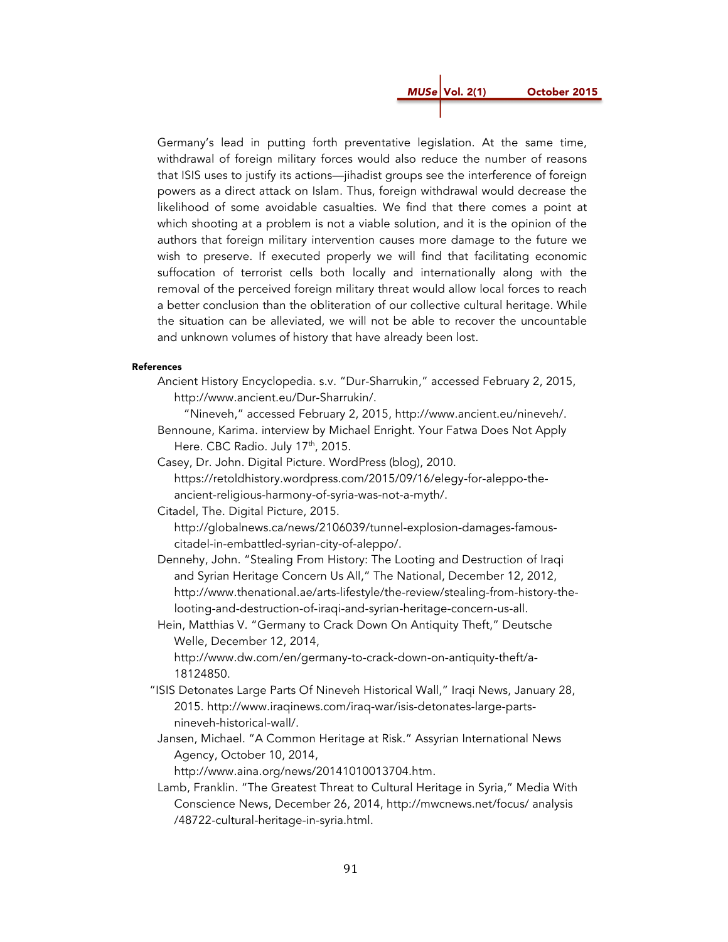*MUSe* Vol. 2(1) October 2015

Germany's lead in putting forth preventative legislation. At the same time, withdrawal of foreign military forces would also reduce the number of reasons that ISIS uses to justify its actions—jihadist groups see the interference of foreign powers as a direct attack on Islam. Thus, foreign withdrawal would decrease the likelihood of some avoidable casualties. We find that there comes a point at which shooting at a problem is not a viable solution, and it is the opinion of the authors that foreign military intervention causes more damage to the future we wish to preserve. If executed properly we will find that facilitating economic suffocation of terrorist cells both locally and internationally along with the removal of the perceived foreign military threat would allow local forces to reach a better conclusion than the obliteration of our collective cultural heritage. While the situation can be alleviated, we will not be able to recover the uncountable and unknown volumes of history that have already been lost.

#### References

Ancient History Encyclopedia. s.v. "Dur-Sharrukin," accessed February 2, 2015, http://www.ancient.eu/Dur-Sharrukin/.

"Nineveh," accessed February 2, 2015, http://www.ancient.eu/nineveh/.

- Bennoune, Karima. interview by Michael Enright. Your Fatwa Does Not Apply Here. CBC Radio. July 17<sup>th</sup>, 2015.
- Casey, Dr. John. Digital Picture. WordPress (blog), 2010. https://retoldhistory.wordpress.com/2015/09/16/elegy-for-aleppo-theancient-religious-harmony-of-syria-was-not-a-myth/.
- Citadel, The. Digital Picture, 2015.

http://globalnews.ca/news/2106039/tunnel-explosion-damages-famouscitadel-in-embattled-syrian-city-of-aleppo/.

Dennehy, John. "Stealing From History: The Looting and Destruction of Iraqi and Syrian Heritage Concern Us All," The National, December 12, 2012, http://www.thenational.ae/arts-lifestyle/the-review/stealing-from-history-thelooting-and-destruction-of-iraqi-and-syrian-heritage-concern-us-all.

Hein, Matthias V. "Germany to Crack Down On Antiquity Theft," Deutsche Welle, December 12, 2014,

http://www.dw.com/en/germany-to-crack-down-on-antiquity-theft/a-18124850.

- "ISIS Detonates Large Parts Of Nineveh Historical Wall," Iraqi News, January 28, 2015. http://www.iraqinews.com/iraq-war/isis-detonates-large-partsnineveh-historical-wall/.
- Jansen, Michael. "A Common Heritage at Risk." Assyrian International News Agency, October 10, 2014,

http://www.aina.org/news/20141010013704.htm.

Lamb, Franklin. "The Greatest Threat to Cultural Heritage in Syria," Media With Conscience News, December 26, 2014, http://mwcnews.net/focus/ analysis /48722-cultural-heritage-in-syria.html.